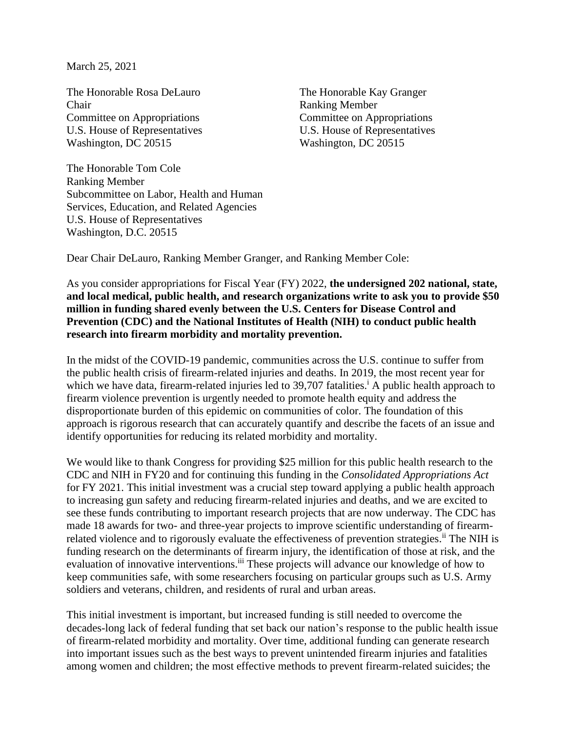March 25, 2021

The Honorable Rosa DeLauro The Honorable Kay Granger Chair Ranking Member Committee on Appropriations Committee on Appropriations U.S. House of Representatives U.S. House of Representatives Washington, DC 20515 Washington, DC 20515

The Honorable Tom Cole Ranking Member Subcommittee on Labor, Health and Human Services, Education, and Related Agencies U.S. House of Representatives Washington, D.C. 20515

Dear Chair DeLauro, Ranking Member Granger, and Ranking Member Cole:

As you consider appropriations for Fiscal Year (FY) 2022, **the undersigned 202 national, state, and local medical, public health, and research organizations write to ask you to provide \$50 million in funding shared evenly between the U.S. Centers for Disease Control and Prevention (CDC) and the National Institutes of Health (NIH) to conduct public health research into firearm morbidity and mortality prevention.**

In the midst of the COVID-19 pandemic, communities across the U.S. continue to suffer from the public health crisis of firearm-related injuries and deaths. In 2019, the most recent year for which we have data, firearm-related injuries led to 39,707 fatalities.<sup>1</sup> A public health approach to firearm violence prevention is urgently needed to promote health equity and address the disproportionate burden of this epidemic on communities of color. The foundation of this approach is rigorous research that can accurately quantify and describe the facets of an issue and identify opportunities for reducing its related morbidity and mortality.

We would like to thank Congress for providing \$25 million for this public health research to the CDC and NIH in FY20 and for continuing this funding in the *Consolidated Appropriations Act* for FY 2021. This initial investment was a crucial step toward applying a public health approach to increasing gun safety and reducing firearm-related injuries and deaths, and we are excited to see these funds contributing to important research projects that are now underway. The CDC has made 18 awards for two- and three-year projects to improve scientific understanding of firearmrelated violence and to rigorously evaluate the effectiveness of prevention strategies.<sup>ii</sup> The NIH is funding research on the determinants of firearm injury, the identification of those at risk, and the evaluation of innovative interventions. iii These projects will advance our knowledge of how to keep communities safe, with some researchers focusing on particular groups such as U.S. Army soldiers and veterans, children, and residents of rural and urban areas.

This initial investment is important, but increased funding is still needed to overcome the decades-long lack of federal funding that set back our nation's response to the public health issue of firearm-related morbidity and mortality. Over time, additional funding can generate research into important issues such as the best ways to prevent unintended firearm injuries and fatalities among women and children; the most effective methods to prevent firearm-related suicides; the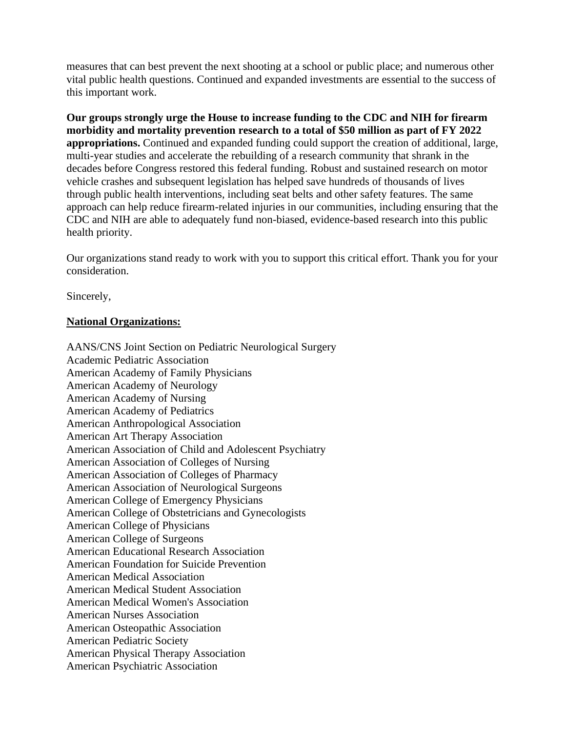measures that can best prevent the next shooting at a school or public place; and numerous other vital public health questions. Continued and expanded investments are essential to the success of this important work.

**Our groups strongly urge the House to increase funding to the CDC and NIH for firearm morbidity and mortality prevention research to a total of \$50 million as part of FY 2022 appropriations.** Continued and expanded funding could support the creation of additional, large, multi-year studies and accelerate the rebuilding of a research community that shrank in the decades before Congress restored this federal funding. Robust and sustained research on motor vehicle crashes and subsequent legislation has helped save hundreds of thousands of lives through public health interventions, including seat belts and other safety features. The same approach can help reduce firearm-related injuries in our communities, including ensuring that the CDC and NIH are able to adequately fund non-biased, evidence-based research into this public health priority.

Our organizations stand ready to work with you to support this critical effort. Thank you for your consideration.

Sincerely,

## **National Organizations:**

AANS/CNS Joint Section on Pediatric Neurological Surgery Academic Pediatric Association American Academy of Family Physicians American Academy of Neurology American Academy of Nursing American Academy of Pediatrics American Anthropological Association American Art Therapy Association American Association of Child and Adolescent Psychiatry American Association of Colleges of Nursing American Association of Colleges of Pharmacy American Association of Neurological Surgeons American College of Emergency Physicians American College of Obstetricians and Gynecologists American College of Physicians American College of Surgeons American Educational Research Association American Foundation for Suicide Prevention American Medical Association American Medical Student Association American Medical Women's Association American Nurses Association American Osteopathic Association American Pediatric Society American Physical Therapy Association American Psychiatric Association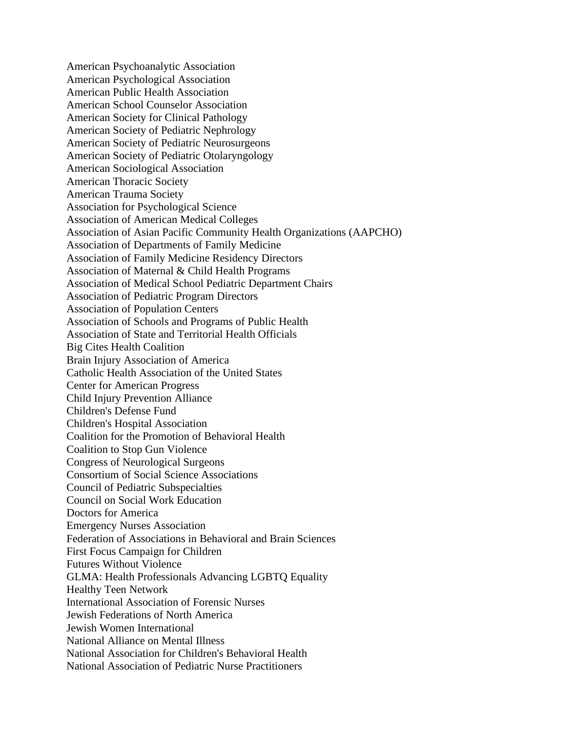American Psychoanalytic Association American Psychological Association American Public Health Association American School Counselor Association American Society for Clinical Pathology American Society of Pediatric Nephrology American Society of Pediatric Neurosurgeons American Society of Pediatric Otolaryngology American Sociological Association American Thoracic Society American Trauma Society Association for Psychological Science Association of American Medical Colleges Association of Asian Pacific Community Health Organizations (AAPCHO) Association of Departments of Family Medicine Association of Family Medicine Residency Directors Association of Maternal & Child Health Programs Association of Medical School Pediatric Department Chairs Association of Pediatric Program Directors Association of Population Centers Association of Schools and Programs of Public Health Association of State and Territorial Health Officials Big Cites Health Coalition Brain Injury Association of America Catholic Health Association of the United States Center for American Progress Child Injury Prevention Alliance Children's Defense Fund Children's Hospital Association Coalition for the Promotion of Behavioral Health Coalition to Stop Gun Violence Congress of Neurological Surgeons Consortium of Social Science Associations Council of Pediatric Subspecialties Council on Social Work Education Doctors for America Emergency Nurses Association Federation of Associations in Behavioral and Brain Sciences First Focus Campaign for Children Futures Without Violence GLMA: Health Professionals Advancing LGBTQ Equality Healthy Teen Network International Association of Forensic Nurses Jewish Federations of North America Jewish Women International National Alliance on Mental Illness National Association for Children's Behavioral Health National Association of Pediatric Nurse Practitioners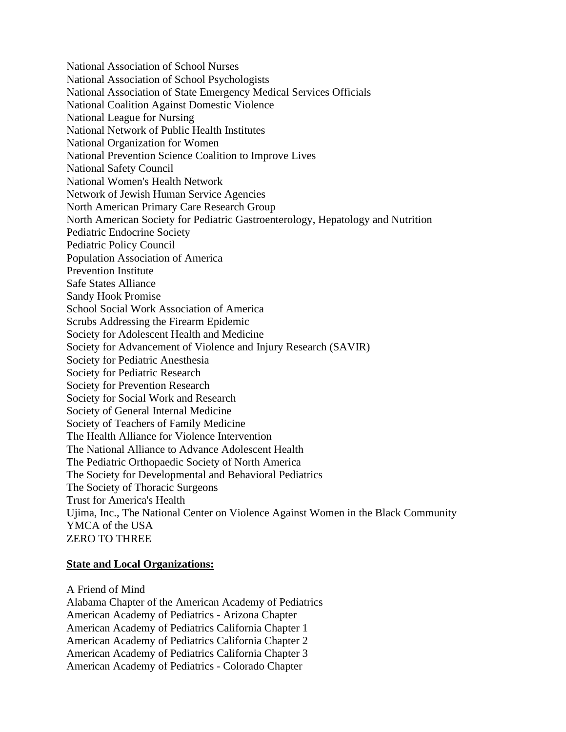National Association of School Nurses National Association of School Psychologists National Association of State Emergency Medical Services Officials National Coalition Against Domestic Violence National League for Nursing National Network of Public Health Institutes National Organization for Women National Prevention Science Coalition to Improve Lives National Safety Council National Women's Health Network Network of Jewish Human Service Agencies North American Primary Care Research Group North American Society for Pediatric Gastroenterology, Hepatology and Nutrition Pediatric Endocrine Society Pediatric Policy Council Population Association of America Prevention Institute Safe States Alliance Sandy Hook Promise School Social Work Association of America Scrubs Addressing the Firearm Epidemic Society for Adolescent Health and Medicine Society for Advancement of Violence and Injury Research (SAVIR) Society for Pediatric Anesthesia Society for Pediatric Research Society for Prevention Research Society for Social Work and Research Society of General Internal Medicine Society of Teachers of Family Medicine The Health Alliance for Violence Intervention The National Alliance to Advance Adolescent Health The Pediatric Orthopaedic Society of North America The Society for Developmental and Behavioral Pediatrics The Society of Thoracic Surgeons Trust for America's Health Ujima, Inc., The National Center on Violence Against Women in the Black Community YMCA of the USA ZERO TO THREE

## **State and Local Organizations:**

A Friend of Mind Alabama Chapter of the American Academy of Pediatrics American Academy of Pediatrics - Arizona Chapter American Academy of Pediatrics California Chapter 1 American Academy of Pediatrics California Chapter 2 American Academy of Pediatrics California Chapter 3 American Academy of Pediatrics - Colorado Chapter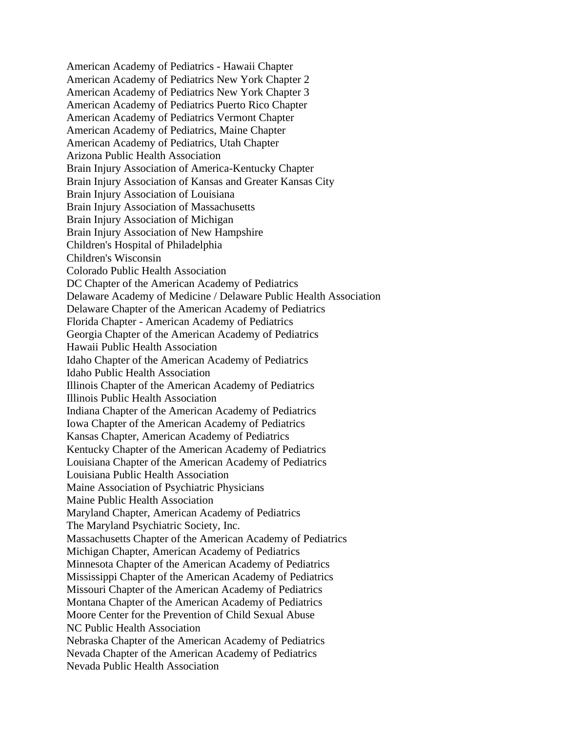American Academy of Pediatrics - Hawaii Chapter American Academy of Pediatrics New York Chapter 2 American Academy of Pediatrics New York Chapter 3 American Academy of Pediatrics Puerto Rico Chapter American Academy of Pediatrics Vermont Chapter American Academy of Pediatrics, Maine Chapter American Academy of Pediatrics, Utah Chapter Arizona Public Health Association Brain Injury Association of America-Kentucky Chapter Brain Injury Association of Kansas and Greater Kansas City Brain Injury Association of Louisiana Brain Injury Association of Massachusetts Brain Injury Association of Michigan Brain Injury Association of New Hampshire Children's Hospital of Philadelphia Children's Wisconsin Colorado Public Health Association DC Chapter of the American Academy of Pediatrics Delaware Academy of Medicine / Delaware Public Health Association Delaware Chapter of the American Academy of Pediatrics Florida Chapter - American Academy of Pediatrics Georgia Chapter of the American Academy of Pediatrics Hawaii Public Health Association Idaho Chapter of the American Academy of Pediatrics Idaho Public Health Association Illinois Chapter of the American Academy of Pediatrics Illinois Public Health Association Indiana Chapter of the American Academy of Pediatrics Iowa Chapter of the American Academy of Pediatrics Kansas Chapter, American Academy of Pediatrics Kentucky Chapter of the American Academy of Pediatrics Louisiana Chapter of the American Academy of Pediatrics Louisiana Public Health Association Maine Association of Psychiatric Physicians Maine Public Health Association Maryland Chapter, American Academy of Pediatrics The Maryland Psychiatric Society, Inc. Massachusetts Chapter of the American Academy of Pediatrics Michigan Chapter, American Academy of Pediatrics Minnesota Chapter of the American Academy of Pediatrics Mississippi Chapter of the American Academy of Pediatrics Missouri Chapter of the American Academy of Pediatrics Montana Chapter of the American Academy of Pediatrics Moore Center for the Prevention of Child Sexual Abuse NC Public Health Association Nebraska Chapter of the American Academy of Pediatrics Nevada Chapter of the American Academy of Pediatrics Nevada Public Health Association